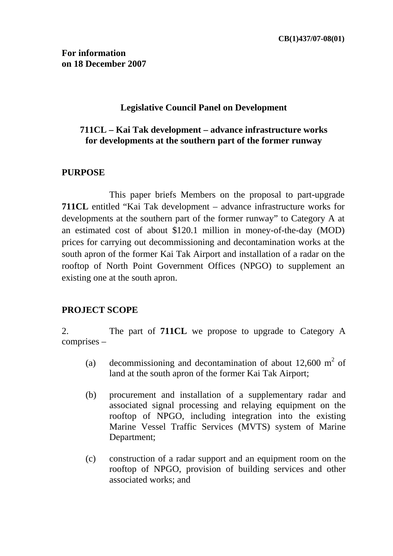### **Legislative Council Panel on Development**

### **711CL – Kai Tak development – advance infrastructure works for developments at the southern part of the former runway**

#### **PURPOSE**

This paper briefs Members on the proposal to part-upgrade **711CL** entitled "Kai Tak development – advance infrastructure works for developments at the southern part of the former runway" to Category A at an estimated cost of about \$120.1 million in money-of-the-day (MOD) prices for carrying out decommissioning and decontamination works at the south apron of the former Kai Tak Airport and installation of a radar on the rooftop of North Point Government Offices (NPGO) to supplement an existing one at the south apron.

### **PROJECT SCOPE**

2. The part of **711CL** we propose to upgrade to Category A comprises –

- (a) decommissioning and decontamination of about  $12,600 \text{ m}^2$  of land at the south apron of the former Kai Tak Airport;
- (b) procurement and installation of a supplementary radar and associated signal processing and relaying equipment on the rooftop of NPGO, including integration into the existing Marine Vessel Traffic Services (MVTS) system of Marine Department;
- (c) construction of a radar support and an equipment room on the rooftop of NPGO, provision of building services and other associated works; and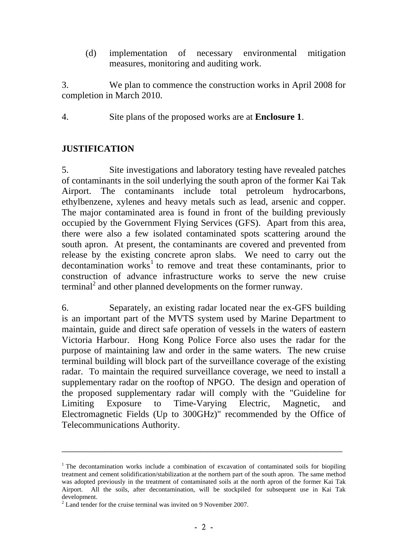(d) implementation of necessary environmental mitigation measures, monitoring and auditing work.

3. We plan to commence the construction works in April 2008 for completion in March 2010.

4. Site plans of the proposed works are at **Enclosure 1**.

### **JUSTIFICATION**

5. Site investigations and laboratory testing have revealed patches of contaminants in the soil underlying the south apron of the former Kai Tak Airport. The contaminants include total petroleum hydrocarbons, ethylbenzene, xylenes and heavy metals such as lead, arsenic and copper. The major contaminated area is found in front of the building previously occupied by the Government Flying Services (GFS). Apart from this area, there were also a few isolated contaminated spots scattering around the south apron. At present, the contaminants are covered and prevented from release by the existing concrete apron slabs. We need to carry out the  $decontamination$  works<sup>1</sup> to remove and treat these contaminants, prior to construction of advance infrastructure works to serve the new cruise terminal<sup>2</sup> and other planned developments on the former runway.

6. Separately, an existing radar located near the ex-GFS building is an important part of the MVTS system used by Marine Department to maintain, guide and direct safe operation of vessels in the waters of eastern Victoria Harbour. Hong Kong Police Force also uses the radar for the purpose of maintaining law and order in the same waters. The new cruise terminal building will block part of the surveillance coverage of the existing radar. To maintain the required surveillance coverage, we need to install a supplementary radar on the rooftop of NPGO. The design and operation of the proposed supplementary radar will comply with the "Guideline for Limiting Exposure to Time-Varying Electric, Magnetic, and Electromagnetic Fields (Up to 300GHz)" recommended by the Office of Telecommunications Authority.

<sup>&</sup>lt;sup>1</sup> The decontamination works include a combination of excavation of contaminated soils for biopiling treatment and cement solidification/stabilization at the northern part of the south apron. The same method was adopted previously in the treatment of contaminated soils at the north apron of the former Kai Tak Airport. All the soils, after decontamination, will be stockpiled for subsequent use in Kai Tak development.

 $2^2$  Land tender for the cruise terminal was invited on 9 November 2007.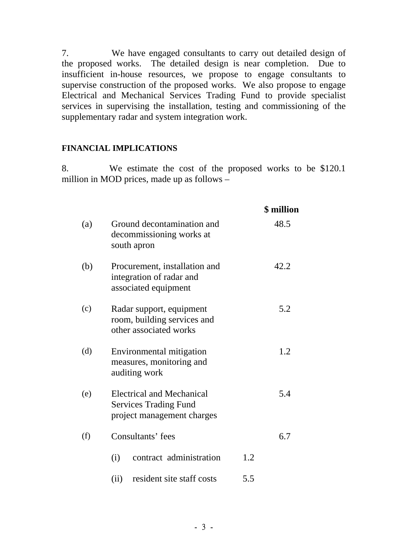7. We have engaged consultants to carry out detailed design of the proposed works. The detailed design is near completion. Due to insufficient in-house resources, we propose to engage consultants to supervise construction of the proposed works. We also propose to engage Electrical and Mechanical Services Trading Fund to provide specialist services in supervising the installation, testing and commissioning of the supplementary radar and system integration work.

#### **FINANCIAL IMPLICATIONS**

8. We estimate the cost of the proposed works to be \$120.1 million in MOD prices, made up as follows –

|     |                                                                                                |     | <b>\$</b> million |
|-----|------------------------------------------------------------------------------------------------|-----|-------------------|
| (a) | Ground decontamination and<br>decommissioning works at<br>south apron                          |     | 48.5              |
| (b) | Procurement, installation and<br>integration of radar and<br>associated equipment              |     | 42.2              |
| (c) | Radar support, equipment<br>room, building services and<br>other associated works              |     | 5.2               |
| (d) | Environmental mitigation<br>measures, monitoring and<br>auditing work                          |     | 1.2               |
| (e) | <b>Electrical and Mechanical</b><br><b>Services Trading Fund</b><br>project management charges |     | 5.4               |
| (f) | Consultants' fees                                                                              |     | 6.7               |
|     | contract administration<br>(i)                                                                 | 1.2 |                   |
|     | resident site staff costs<br>(ii)                                                              | 5.5 |                   |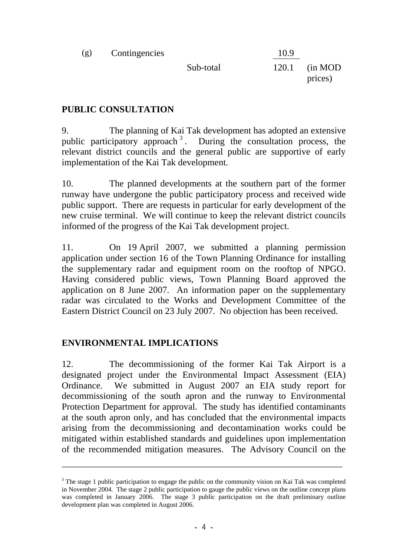| (g) | Contingencies |           | 10.9  |                     |
|-----|---------------|-----------|-------|---------------------|
|     |               | Sub-total | 120.1 | (in MOD)<br>prices) |

### **PUBLIC CONSULTATION**

9. The planning of Kai Tak development has adopted an extensive public participatory approach<sup>3</sup>. During the consultation process, the relevant district councils and the general public are supportive of early implementation of the Kai Tak development.

10. The planned developments at the southern part of the former runway have undergone the public participatory process and received wide public support. There are requests in particular for early development of the new cruise terminal. We will continue to keep the relevant district councils informed of the progress of the Kai Tak development project.

11. On 19 April 2007, we submitted a planning permission application under section 16 of the Town Planning Ordinance for installing the supplementary radar and equipment room on the rooftop of NPGO. Having considered public views, Town Planning Board approved the application on 8 June 2007. An information paper on the supplementary radar was circulated to the Works and Development Committee of the Eastern District Council on 23 July 2007. No objection has been received.

# **ENVIRONMENTAL IMPLICATIONS**

12. The decommissioning of the former Kai Tak Airport is a designated project under the Environmental Impact Assessment (EIA) Ordinance. We submitted in August 2007 an EIA study report for decommissioning of the south apron and the runway to Environmental Protection Department for approval. The study has identified contaminants at the south apron only, and has concluded that the environmental impacts arising from the decommissioning and decontamination works could be mitigated within established standards and guidelines upon implementation of the recommended mitigation measures. The Advisory Council on the

 $3$  The stage 1 public participation to engage the public on the community vision on Kai Tak was completed in November 2004. The stage 2 public participation to gauge the public views on the outline concept plans was completed in January 2006. The stage 3 public participation on the draft preliminary outline development plan was completed in August 2006.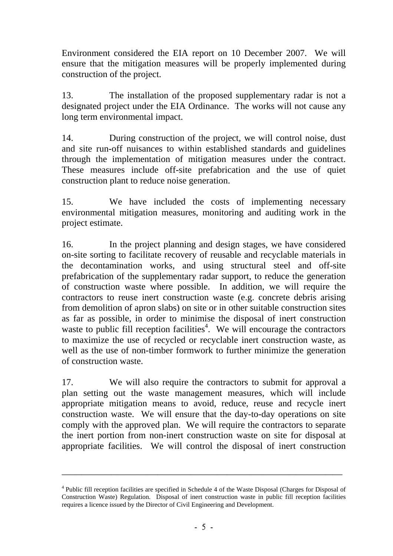Environment considered the EIA report on 10 December 2007. We will ensure that the mitigation measures will be properly implemented during construction of the project.

13. The installation of the proposed supplementary radar is not a designated project under the EIA Ordinance. The works will not cause any long term environmental impact.

14. During construction of the project, we will control noise, dust and site run-off nuisances to within established standards and guidelines through the implementation of mitigation measures under the contract. These measures include off-site prefabrication and the use of quiet construction plant to reduce noise generation.

15. We have included the costs of implementing necessary environmental mitigation measures, monitoring and auditing work in the project estimate.

16. In the project planning and design stages, we have considered on-site sorting to facilitate recovery of reusable and recyclable materials in the decontamination works, and using structural steel and off-site prefabrication of the supplementary radar support, to reduce the generation of construction waste where possible. In addition, we will require the contractors to reuse inert construction waste (e.g. concrete debris arising from demolition of apron slabs) on site or in other suitable construction sites as far as possible, in order to minimise the disposal of inert construction waste to public fill reception facilities<sup>4</sup>. We will encourage the contractors to maximize the use of recycled or recyclable inert construction waste, as well as the use of non-timber formwork to further minimize the generation of construction waste.

17. We will also require the contractors to submit for approval a plan setting out the waste management measures, which will include appropriate mitigation means to avoid, reduce, reuse and recycle inert construction waste. We will ensure that the day-to-day operations on site comply with the approved plan. We will require the contractors to separate the inert portion from non-inert construction waste on site for disposal at appropriate facilities. We will control the disposal of inert construction

<sup>&</sup>lt;sup>4</sup> Public fill reception facilities are specified in Schedule 4 of the Waste Disposal (Charges for Disposal of Construction Waste) Regulation. Disposal of inert construction waste in public fill reception facilities requires a licence issued by the Director of Civil Engineering and Development.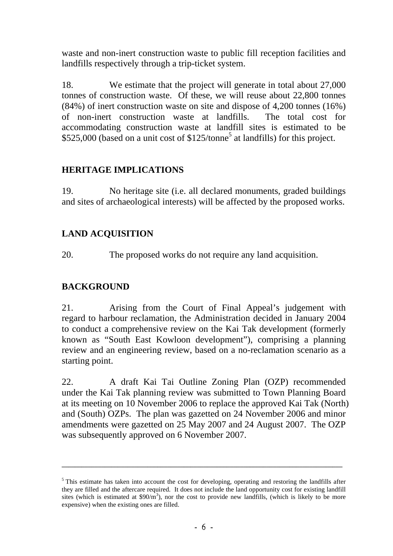waste and non-inert construction waste to public fill reception facilities and landfills respectively through a trip-ticket system.

18. We estimate that the project will generate in total about 27,000 tonnes of construction waste. Of these, we will reuse about 22,800 tonnes (84%) of inert construction waste on site and dispose of 4,200 tonnes (16%) of non-inert construction waste at landfills. The total cost for accommodating construction waste at landfill sites is estimated to be \$525,000 (based on a unit cost of \$125/tonne<sup>5</sup> at landfills) for this project.

# **HERITAGE IMPLICATIONS**

19. No heritage site (i.e. all declared monuments, graded buildings and sites of archaeological interests) will be affected by the proposed works.

# **LAND ACQUISITION**

20. The proposed works do not require any land acquisition.

# **BACKGROUND**

21. Arising from the Court of Final Appeal's judgement with regard to harbour reclamation, the Administration decided in January 2004 to conduct a comprehensive review on the Kai Tak development (formerly known as "South East Kowloon development"), comprising a planning review and an engineering review, based on a no-reclamation scenario as a starting point.

22. A draft Kai Tai Outline Zoning Plan (OZP) recommended under the Kai Tak planning review was submitted to Town Planning Board at its meeting on 10 November 2006 to replace the approved Kai Tak (North) and (South) OZPs. The plan was gazetted on 24 November 2006 and minor amendments were gazetted on 25 May 2007 and 24 August 2007. The OZP was subsequently approved on 6 November 2007.

<sup>&</sup>lt;sup>5</sup> This estimate has taken into account the cost for developing, operating and restoring the landfills after they are filled and the aftercare required. It does not include the land opportunity cost for existing landfill sites (which is estimated at  $$90/m^3$ ), nor the cost to provide new landfills, (which is likely to be more expensive) when the existing ones are filled.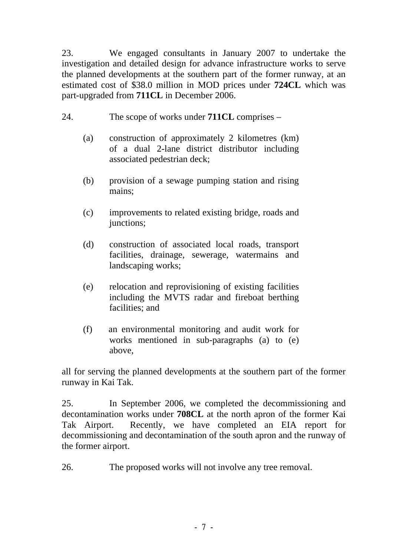23. We engaged consultants in January 2007 to undertake the investigation and detailed design for advance infrastructure works to serve the planned developments at the southern part of the former runway, at an estimated cost of \$38.0 million in MOD prices under **724CL** which was part-upgraded from **711CL** in December 2006.

- 24. The scope of works under **711CL** comprises
	- (a) construction of approximately 2 kilometres (km) of a dual 2-lane district distributor including associated pedestrian deck;
	- (b) provision of a sewage pumping station and rising mains;
	- (c) improvements to related existing bridge, roads and junctions;
	- (d) construction of associated local roads, transport facilities, drainage, sewerage, watermains and landscaping works;
	- (e) relocation and reprovisioning of existing facilities including the MVTS radar and fireboat berthing facilities; and
	- (f) an environmental monitoring and audit work for works mentioned in sub-paragraphs (a) to (e) above,

all for serving the planned developments at the southern part of the former runway in Kai Tak.

25. In September 2006, we completed the decommissioning and decontamination works under **708CL** at the north apron of the former Kai Tak Airport. Recently, we have completed an EIA report for decommissioning and decontamination of the south apron and the runway of the former airport.

26. The proposed works will not involve any tree removal.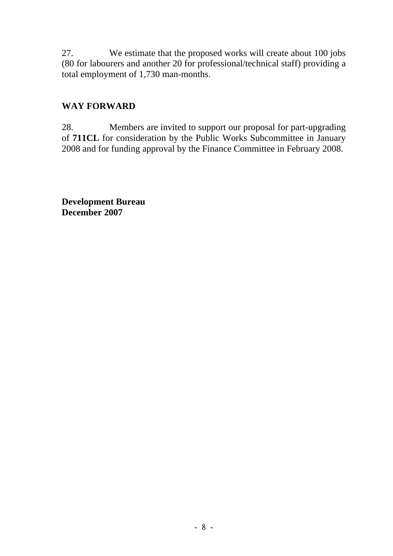27. We estimate that the proposed works will create about 100 jobs (80 for labourers and another 20 for professional/technical staff) providing a total employment of 1,730 man-months.

# **WAY FORWARD**

28. Members are invited to support our proposal for part-upgrading of **711CL** for consideration by the Public Works Subcommittee in January 2008 and for funding approval by the Finance Committee in February 2008.

**Development Bureau December 2007**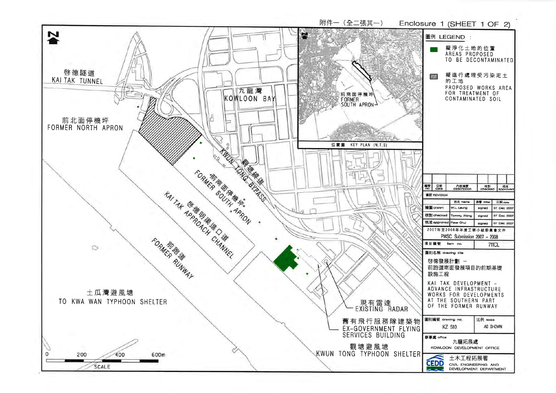